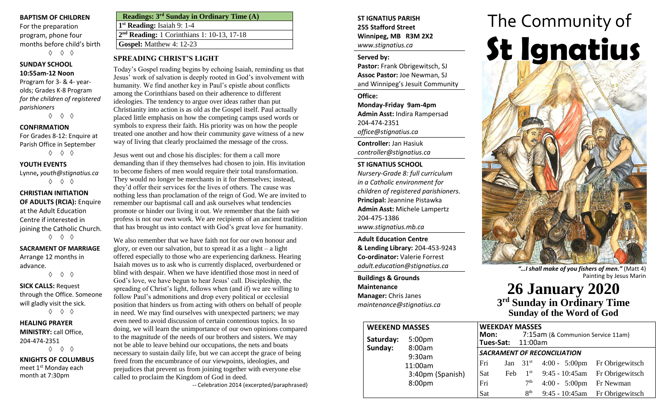#### **BAPTISM OF CHILDREN**

For the preparation program, phone four months before child's birth ◊ ◊ ◊

#### **SUNDAY SCHOOL 10:55am-12 Noon**

Program for 3- & 4- yearolds; Grades K-8 Program *for the children of registered parishioners*

◊ ◊ ◊

#### **CONFIRMATION**

For Grades 8-12: Enquire at Parish Office in September ◊ ◊ ◊

#### **YOUTH EVENTS**

Lynne**,** *youth@stignatius.ca* ◊ ◊ ◊

**CHRISTIAN INITIATION OF ADULTS (RCIA):** Enquire at the Adult Education Centre if interested in joining the Catholic Church. ◊ ◊ ◊

**SACRAMENT OF MARRIAGE**

Arrange 12 months in advance. ◊ ◊ ◊

**SICK CALLS:** Request through the Office. Someone will gladly visit the sick. ◊ ◊ ◊

**HEALING PRAYER** 

**MINISTRY:** call Office, 204-474-2351 ◊ ◊ ◊

**KNIGHTS OF COLUMBUS** meet 1<sup>st</sup> Monday each month at 7:30pm

| <b>Readings: 3rd Sunday in Ordinary Time (A)</b> |
|--------------------------------------------------|
| $1st$ Reading: Isaiah 9: 1-4                     |
| $2nd$ Reading: 1 Corinthians 1: 10-13, 17-18     |
| <b>Gospel:</b> Matthew 4: 12-23                  |

### **SPREADING CHRIST'S LIGHT**

Today's Gospel reading begins by echoing Isaiah, reminding us that Jesus' work of salvation is deeply rooted in God's involvement with humanity. We find another key in Paul's epistle about conflicts among the Corinthians based on their adherence to different ideologies. The tendency to argue over ideas rather than put Christianity into action is as old as the Gospel itself. Paul actually placed little emphasis on how the competing camps used words or symbols to express their faith. His priority was on how the people treated one another and how their community gave witness of a new way of living that clearly proclaimed the message of the cross.

Jesus went out and chose his disciples: for them a call more demanding than if they themselves had chosen to join. His invitation to become fishers of men would require their total transformation. They would no longer be merchants in it for themselves; instead, they'd offer their services for the lives of others. The cause was nothing less than proclamation of the reign of God. We are invited to remember our baptismal call and ask ourselves what tendencies promote or hinder our living it out. We remember that the faith we profess is not our own work. We are recipients of an ancient tradition that has brought us into contact with God's great love for humanity.

We also remember that we have faith not for our own honour and glory, or even our salvation, but to spread it as a light – a light offered especially to those who are experiencing darkness. Hearing Isaiah moves us to ask who is currently displaced, overburdened or blind with despair. When we have identified those most in need of God's love, we have begun to hear Jesus' call. Discipleship, the spreading of Christ's light, follows when (and if) we are willing to follow Paul's admonitions and drop every political or ecclesial position that hinders us from acting with others on behalf of people in need. We may find ourselves with unexpected partners; we may even need to avoid discussion of certain contentious topics. In so doing, we will learn the unimportance of our own opinions compared to the magnitude of the needs of our brothers and sisters. We may not be able to leave behind our occupations, the nets and boats necessary to sustain daily life, but we can accept the grace of being freed from the encumbrance of our viewpoints, ideologies, and prejudices that prevent us from joining together with everyone else called to proclaim the Kingdom of God in deed.

-- Celebration 2014 (excerpted/paraphrased)

### **ST IGNATIUS PARISH 255 Stafford Street Winnipeg, MB R3M 2X2** *www.stignatius.ca*

#### **Served by:**

**Pastor:** Frank Obrigewitsch, SJ **Assoc Pastor:** Joe Newman, SJ and Winnipeg's Jesuit Community

#### **Office:**

**Monday-Friday 9am-4pm Admin Asst:** Indira Rampersad 204-474-2351 *office@stignatius.ca*

**Controller:** Jan Hasiuk *controller@stignatius.ca*

### **ST IGNATIUS SCHOOL**

*Nursery-Grade 8: full curriculum in a Catholic environment for children of registered parishioners.* **Principal:** Jeannine Pistawka **Admin Asst:** Michele Lampertz 204-475-1386 *www.stignatius.mb.ca*

**Adult Education Centre & Lending Library:** 204-453-9243 **Co-ordinator:** Valerie Forrest *adult.education@stignatius.ca*

**Buildings & Grounds Maintenance Manager:** Chris Janes *maintenance@stignatius.ca*



*"…I shall make of you fishers of men."* (Matt 4) Painting by Jesus Marin

# **26 January 2020 3 rd Sunday in Ordinary Time Sunday of the Word of God**

| <b>WEEKEND MASSES</b> | <b>WEEKDAY MASSES</b>                  |                                                                       |     |                 |                                          |                                |
|-----------------------|----------------------------------------|-----------------------------------------------------------------------|-----|-----------------|------------------------------------------|--------------------------------|
| Saturday:             | 5:00 <sub>pm</sub><br>8:00am<br>9:30am | Mon:<br>7:15am (& Communion Service 11am)<br><b>Tues-Sat: 11:00am</b> |     |                 |                                          |                                |
| Sunday:               |                                        | <b>SACRAMENT OF RECONCILIATION</b>                                    |     |                 |                                          |                                |
|                       | 11:00am                                | Fri                                                                   |     |                 | Jan $31st$ 4:00 - 5:00pm Fr Obrigewitsch |                                |
|                       | 3:40pm (Spanish)                       | Sat                                                                   | Feb |                 | $1st$ 9:45 - 10:45am Fr Obrigewitsch     |                                |
|                       | 8:00 <sub>pm</sub>                     | Fri                                                                   |     | 7 <sup>th</sup> | $4:00 - 5:00$ pm Fr Newman               |                                |
|                       |                                        | Sat                                                                   |     | 8 <sup>th</sup> |                                          | 9:45 - 10:45am Fr Obrigewitsch |